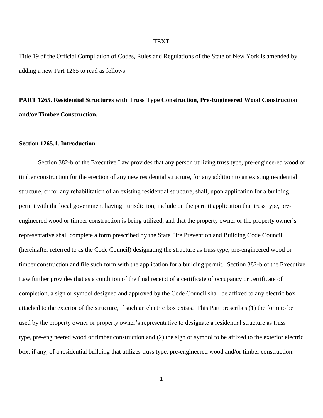#### **TEXT**

Title 19 of the Official Compilation of Codes, Rules and Regulations of the State of New York is amended by adding a new Part 1265 to read as follows:

# **PART 1265. Residential Structures with Truss Type Construction, Pre-Engineered Wood Construction and/or Timber Construction.**

#### **Section 1265.1. Introduction**.

Section 382-b of the Executive Law provides that any person utilizing truss type, pre-engineered wood or timber construction for the erection of any new residential structure, for any addition to an existing residential structure, or for any rehabilitation of an existing residential structure, shall, upon application for a building permit with the local government having jurisdiction, include on the permit application that truss type, preengineered wood or timber construction is being utilized, and that the property owner or the property owner's representative shall complete a form prescribed by the State Fire Prevention and Building Code Council (hereinafter referred to as the Code Council) designating the structure as truss type, pre-engineered wood or timber construction and file such form with the application for a building permit. Section 382-b of the Executive Law further provides that as a condition of the final receipt of a certificate of occupancy or certificate of completion, a sign or symbol designed and approved by the Code Council shall be affixed to any electric box attached to the exterior of the structure, if such an electric box exists. This Part prescribes (1) the form to be used by the property owner or property owner's representative to designate a residential structure as truss type, pre-engineered wood or timber construction and (2) the sign or symbol to be affixed to the exterior electric box, if any, of a residential building that utilizes truss type, pre-engineered wood and/or timber construction.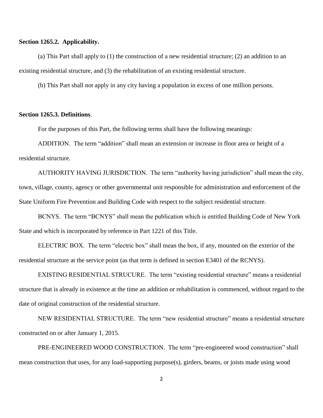## **Section 1265.2. Applicability.**

(a) This Part shall apply to (1) the construction of a new residential structure; (2) an addition to an existing residential structure, and (3) the rehabilitation of an existing residential structure.

(b) This Part shall not apply in any city having a population in excess of one million persons.

# **Section 1265.3. Definitions**.

For the purposes of this Part, the following terms shall have the following meanings:

ADDITION. The term "addition" shall mean an extension or increase in floor area or height of a residential structure*.*

AUTHORITY HAVING JURISDICTION. The term "authority having jurisdiction" shall mean the city, town, village, county, agency or other governmental unit responsible for administration and enforcement of the State Uniform Fire Prevention and Building Code with respect to the subject residential structure.

BCNYS. The term "BCNYS" shall mean the publication which is entitled Building Code of New York State and which is incorporated by reference in Part 1221 of this Title.

ELECTRIC BOX. The term "electric box" shall mean the box, if any, mounted on the exterior of the residential structure at the service point (as that term is defined in section E3401 of the RCNYS).

EXISTING RESIDENTIAL STRUCURE. The term "existing residential structure" means a residential structure that is already in existence at the time an addition or rehabilitation is commenced, without regard to the date of original construction of the residential structure.

NEW RESIDENTIAL STRUCTURE. The term "new residential structure" means a residential structure constructed on or after January 1, 2015.

PRE-ENGINEERED WOOD CONSTRUCTION. The term "pre-engineered wood construction" shall mean construction that uses, for any load-supporting purpose(s), girders, beams, or joists made using wood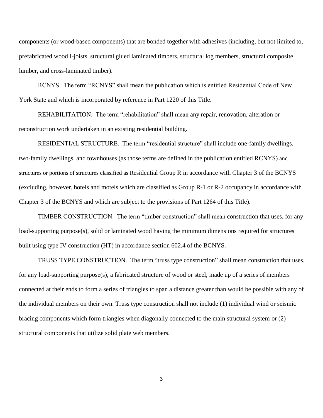components (or wood-based components) that are bonded together with adhesives (including, but not limited to, prefabricated wood I-joists, structural glued laminated timbers, structural log members, structural composite lumber, and cross-laminated timber).

RCNYS. The term "RCNYS" shall mean the publication which is entitled Residential Code of New York State and which is incorporated by reference in Part 1220 of this Title.

REHABILITATION. The term "rehabilitation" shall mean any repair, renovation, alteration or reconstruction work undertaken in an existing residential building.

RESIDENTIAL STRUCTURE. The term "residential structure" shall include one-family dwellings, two-family dwellings, and townhouses (as those terms are defined in the publication entitled RCNYS) and structures or portions of structures classified as Residential Group R in accordance with Chapter 3 of the BCNYS (excluding, however, hotels and motels which are classified as Group R-1 or R-2 occupancy in accordance with Chapter 3 of the BCNYS and which are subject to the provisions of Part 1264 of this Title).

TIMBER CONSTRUCTION. The term "timber construction" shall mean construction that uses, for any load-supporting purpose(s), solid or laminated wood having the minimum dimensions required for structures built using type IV construction (HT) in accordance section 602.4 of the BCNYS*.*

TRUSS TYPE CONSTRUCTION. The term "truss type construction" shall mean construction that uses, for any load-supporting purpose(s), a fabricated structure of wood or steel, made up of a series of members connected at their ends to form a series of triangles to span a distance greater than would be possible with any of the individual members on their own. Truss type construction shall not include (1) individual wind or seismic bracing components which form triangles when diagonally connected to the main structural system or (2) structural components that utilize solid plate web members.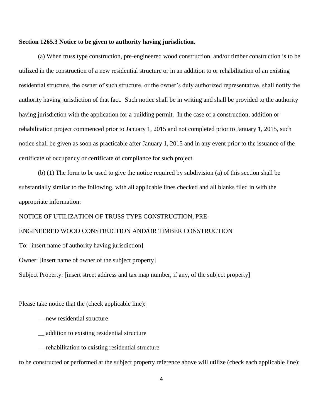## **Section 1265.3 Notice to be given to authority having jurisdiction.**

(a) When truss type construction, pre-engineered wood construction, and/or timber construction is to be utilized in the construction of a new residential structure or in an addition to or rehabilitation of an existing residential structure, the owner of such structure, or the owner's duly authorized representative, shall notify the authority having jurisdiction of that fact. Such notice shall be in writing and shall be provided to the authority having jurisdiction with the application for a building permit. In the case of a construction, addition or rehabilitation project commenced prior to January 1, 2015 and not completed prior to January 1, 2015, such notice shall be given as soon as practicable after January 1, 2015 and in any event prior to the issuance of the certificate of occupancy or certificate of compliance for such project.

(b) (1) The form to be used to give the notice required by subdivision (a) of this section shall be substantially similar to the following, with all applicable lines checked and all blanks filed in with the appropriate information:

NOTICE OF UTILIZATION OF TRUSS TYPE CONSTRUCTION, PRE-

# ENGINEERED WOOD CONSTRUCTION AND/OR TIMBER CONSTRUCTION

To: [insert name of authority having jurisdiction]

Owner: [insert name of owner of the subject property]

Subject Property: [insert street address and tax map number, if any, of the subject property]

Please take notice that the (check applicable line):

- \_\_ new residential structure
- \_\_ addition to existing residential structure
- \_\_ rehabilitation to existing residential structure

to be constructed or performed at the subject property reference above will utilize (check each applicable line):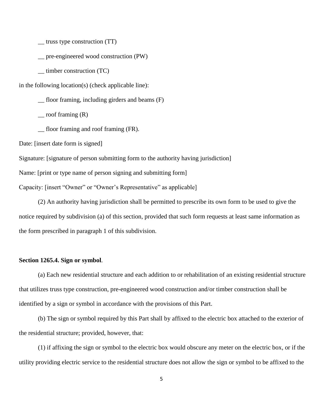\_\_ truss type construction (TT)

\_\_ pre-engineered wood construction (PW)

\_\_ timber construction (TC)

in the following location(s) (check applicable line):

\_\_ floor framing, including girders and beams (F)

 $\equiv$  roof framing  $(R)$ 

\_\_ floor framing and roof framing (FR).

Date: [insert date form is signed]

Signature: [signature of person submitting form to the authority having jurisdiction]

Name: [print or type name of person signing and submitting form]

Capacity: [insert "Owner" or "Owner's Representative" as applicable]

(2) An authority having jurisdiction shall be permitted to prescribe its own form to be used to give the notice required by subdivision (a) of this section, provided that such form requests at least same information as the form prescribed in paragraph 1 of this subdivision.

## **Section 1265.4. Sign or symbol**.

(a) Each new residential structure and each addition to or rehabilitation of an existing residential structure that utilizes truss type construction, pre-engineered wood construction and/or timber construction shall be identified by a sign or symbol in accordance with the provisions of this Part.

(b) The sign or symbol required by this Part shall by affixed to the electric box attached to the exterior of the residential structure; provided, however, that:

(1) if affixing the sign or symbol to the electric box would obscure any meter on the electric box, or if the utility providing electric service to the residential structure does not allow the sign or symbol to be affixed to the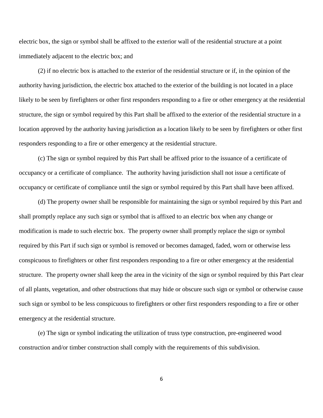electric box, the sign or symbol shall be affixed to the exterior wall of the residential structure at a point immediately adjacent to the electric box; and

(2) if no electric box is attached to the exterior of the residential structure or if, in the opinion of the authority having jurisdiction, the electric box attached to the exterior of the building is not located in a place likely to be seen by firefighters or other first responders responding to a fire or other emergency at the residential structure, the sign or symbol required by this Part shall be affixed to the exterior of the residential structure in a location approved by the authority having jurisdiction as a location likely to be seen by firefighters or other first responders responding to a fire or other emergency at the residential structure.

(c) The sign or symbol required by this Part shall be affixed prior to the issuance of a certificate of occupancy or a certificate of compliance. The authority having jurisdiction shall not issue a certificate of occupancy or certificate of compliance until the sign or symbol required by this Part shall have been affixed.

(d) The property owner shall be responsible for maintaining the sign or symbol required by this Part and shall promptly replace any such sign or symbol that is affixed to an electric box when any change or modification is made to such electric box. The property owner shall promptly replace the sign or symbol required by this Part if such sign or symbol is removed or becomes damaged, faded, worn or otherwise less conspicuous to firefighters or other first responders responding to a fire or other emergency at the residential structure. The property owner shall keep the area in the vicinity of the sign or symbol required by this Part clear of all plants, vegetation, and other obstructions that may hide or obscure such sign or symbol or otherwise cause such sign or symbol to be less conspicuous to firefighters or other first responders responding to a fire or other emergency at the residential structure.

(e) The sign or symbol indicating the utilization of truss type construction, pre-engineered wood construction and/or timber construction shall comply with the requirements of this subdivision.

6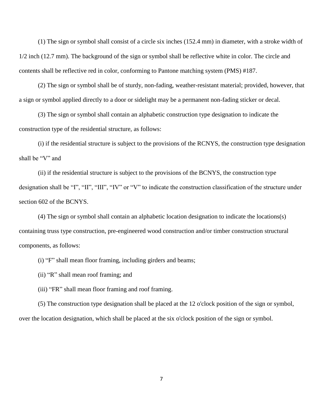(1) The sign or symbol shall consist of a circle six inches (152.4 mm) in diameter, with a stroke width of 1/2 inch (12.7 mm). The background of the sign or symbol shall be reflective white in color. The circle and contents shall be reflective red in color, conforming to Pantone matching system (PMS) #187.

(2) The sign or symbol shall be of sturdy, non-fading, weather-resistant material; provided, however, that a sign or symbol applied directly to a door or sidelight may be a permanent non-fading sticker or decal.

(3) The sign or symbol shall contain an alphabetic construction type designation to indicate the construction type of the residential structure, as follows:

(i) if the residential structure is subject to the provisions of the RCNYS, the construction type designation shall be "V" and

(ii) if the residential structure is subject to the provisions of the BCNYS, the construction type designation shall be "I", "II", "III", "IV" or "V" to indicate the construction classification of the structure under section 602 of the BCNYS.

(4) The sign or symbol shall contain an alphabetic location designation to indicate the locations(s) containing truss type construction, pre-engineered wood construction and/or timber construction structural components, as follows:

(i) "F" shall mean floor framing, including girders and beams;

(ii) "R" shall mean roof framing; and

(iii) "FR" shall mean floor framing and roof framing.

(5) The construction type designation shall be placed at the 12 o'clock position of the sign or symbol, over the location designation, which shall be placed at the six o'clock position of the sign or symbol.